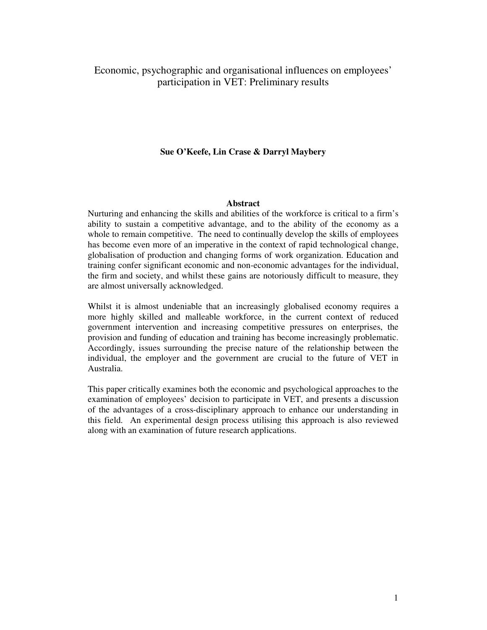# Economic, psychographic and organisational influences on employees' participation in VET: Preliminary results

## **Sue O'Keefe, Lin Crase & Darryl Maybery**

## **Abstract**

Nurturing and enhancing the skills and abilities of the workforce is critical to a firm's ability to sustain a competitive advantage, and to the ability of the economy as a whole to remain competitive. The need to continually develop the skills of employees has become even more of an imperative in the context of rapid technological change, globalisation of production and changing forms of work organization. Education and training confer significant economic and non-economic advantages for the individual, the firm and society, and whilst these gains are notoriously difficult to measure, they are almost universally acknowledged.

Whilst it is almost undeniable that an increasingly globalised economy requires a more highly skilled and malleable workforce, in the current context of reduced government intervention and increasing competitive pressures on enterprises, the provision and funding of education and training has become increasingly problematic. Accordingly, issues surrounding the precise nature of the relationship between the individual, the employer and the government are crucial to the future of VET in Australia.

This paper critically examines both the economic and psychological approaches to the examination of employees' decision to participate in VET, and presents a discussion of the advantages of a cross-disciplinary approach to enhance our understanding in this field. An experimental design process utilising this approach is also reviewed along with an examination of future research applications.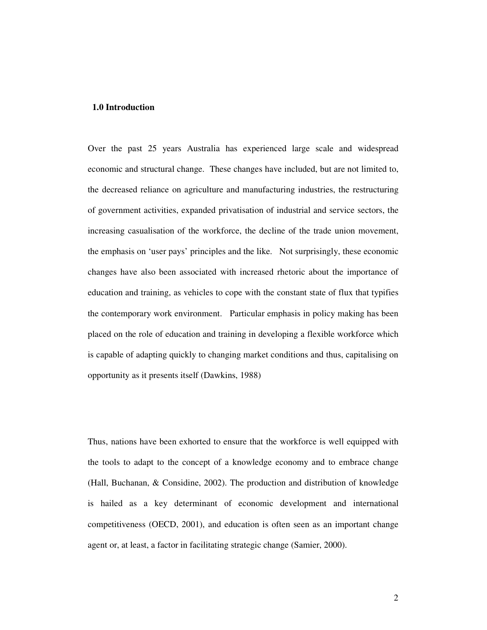### **1.0 Introduction**

Over the past 25 years Australia has experienced large scale and widespread economic and structural change. These changes have included, but are not limited to, the decreased reliance on agriculture and manufacturing industries, the restructuring of government activities, expanded privatisation of industrial and service sectors, the increasing casualisation of the workforce, the decline of the trade union movement, the emphasis on 'user pays' principles and the like. Not surprisingly, these economic changes have also been associated with increased rhetoric about the importance of education and training, as vehicles to cope with the constant state of flux that typifies the contemporary work environment. Particular emphasis in policy making has been placed on the role of education and training in developing a flexible workforce which is capable of adapting quickly to changing market conditions and thus, capitalising on opportunity as it presents itself (Dawkins, 1988)

Thus, nations have been exhorted to ensure that the workforce is well equipped with the tools to adapt to the concept of a knowledge economy and to embrace change (Hall, Buchanan, & Considine, 2002). The production and distribution of knowledge is hailed as a key determinant of economic development and international competitiveness (OECD, 2001), and education is often seen as an important change agent or, at least, a factor in facilitating strategic change (Samier, 2000).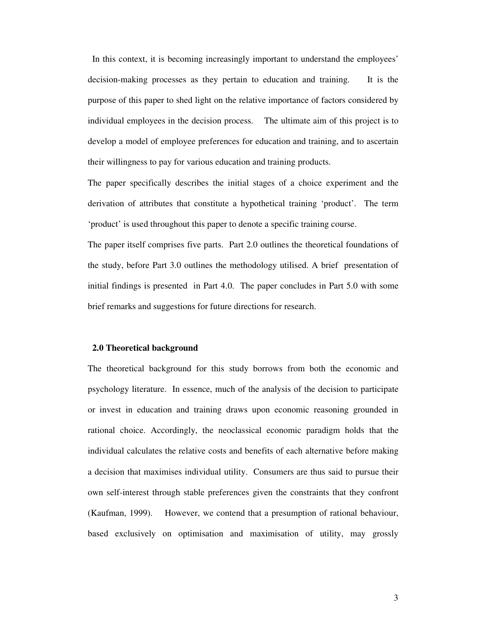In this context, it is becoming increasingly important to understand the employees' decision-making processes as they pertain to education and training. It is the purpose of this paper to shed light on the relative importance of factors considered by individual employees in the decision process. The ultimate aim of this project is to develop a model of employee preferences for education and training, and to ascertain their willingness to pay for various education and training products.

The paper specifically describes the initial stages of a choice experiment and the derivation of attributes that constitute a hypothetical training 'product'. The term 'product' is used throughout this paper to denote a specific training course.

The paper itself comprises five parts. Part 2.0 outlines the theoretical foundations of the study, before Part 3.0 outlines the methodology utilised. A brief presentation of initial findings is presented in Part 4.0. The paper concludes in Part 5.0 with some brief remarks and suggestions for future directions for research.

#### **2.0 Theoretical background**

The theoretical background for this study borrows from both the economic and psychology literature. In essence, much of the analysis of the decision to participate or invest in education and training draws upon economic reasoning grounded in rational choice. Accordingly, the neoclassical economic paradigm holds that the individual calculates the relative costs and benefits of each alternative before making a decision that maximises individual utility. Consumers are thus said to pursue their own self-interest through stable preferences given the constraints that they confront (Kaufman, 1999). However, we contend that a presumption of rational behaviour, based exclusively on optimisation and maximisation of utility, may grossly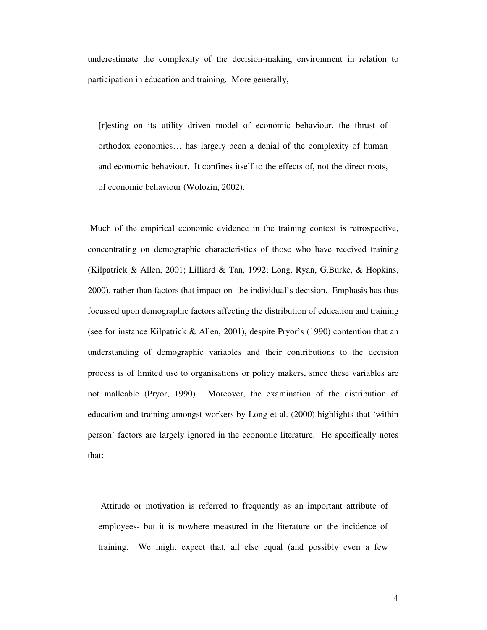underestimate the complexity of the decision-making environment in relation to participation in education and training. More generally,

[r]esting on its utility driven model of economic behaviour, the thrust of orthodox economics… has largely been a denial of the complexity of human and economic behaviour. It confines itself to the effects of, not the direct roots, of economic behaviour (Wolozin, 2002).

Much of the empirical economic evidence in the training context is retrospective, concentrating on demographic characteristics of those who have received training (Kilpatrick & Allen, 2001; Lilliard & Tan, 1992; Long, Ryan, G.Burke, & Hopkins, 2000), rather than factors that impact on the individual's decision. Emphasis has thus focussed upon demographic factors affecting the distribution of education and training (see for instance Kilpatrick & Allen, 2001), despite Pryor's (1990) contention that an understanding of demographic variables and their contributions to the decision process is of limited use to organisations or policy makers, since these variables are not malleable (Pryor, 1990). Moreover, the examination of the distribution of education and training amongst workers by Long et al. (2000) highlights that 'within person' factors are largely ignored in the economic literature. He specifically notes that:

Attitude or motivation is referred to frequently as an important attribute of employees- but it is nowhere measured in the literature on the incidence of training. We might expect that, all else equal (and possibly even a few

4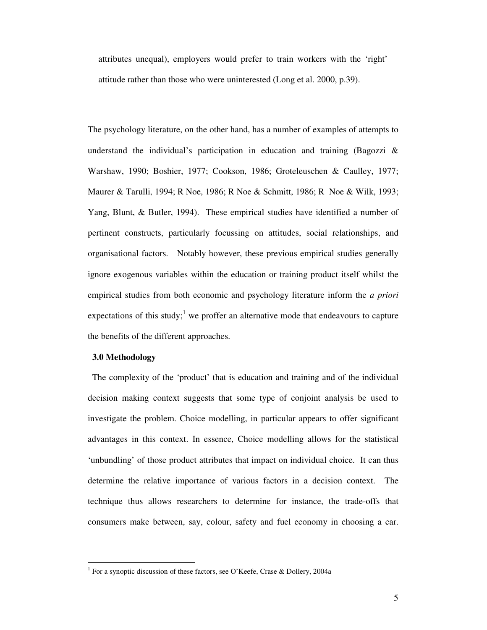attributes unequal), employers would prefer to train workers with the 'right' attitude rather than those who were uninterested (Long et al. 2000, p.39).

The psychology literature, on the other hand, has a number of examples of attempts to understand the individual's participation in education and training (Bagozzi  $\&$ Warshaw, 1990; Boshier, 1977; Cookson, 1986; Groteleuschen & Caulley, 1977; Maurer & Tarulli, 1994; R Noe, 1986; R Noe & Schmitt, 1986; R Noe & Wilk, 1993; Yang, Blunt, & Butler, 1994). These empirical studies have identified a number of pertinent constructs, particularly focussing on attitudes, social relationships, and organisational factors. Notably however, these previous empirical studies generally ignore exogenous variables within the education or training product itself whilst the empirical studies from both economic and psychology literature inform the *a priori* expectations of this study;<sup>1</sup> we proffer an alternative mode that endeavours to capture the benefits of the different approaches.

#### **3.0 Methodology**

The complexity of the 'product' that is education and training and of the individual decision making context suggests that some type of conjoint analysis be used to investigate the problem. Choice modelling, in particular appears to offer significant advantages in this context. In essence, Choice modelling allows for the statistical 'unbundling' of those product attributes that impact on individual choice. It can thus determine the relative importance of various factors in a decision context. The technique thus allows researchers to determine for instance, the trade-offs that consumers make between, say, colour, safety and fuel economy in choosing a car.

<sup>&</sup>lt;sup>1</sup> For a synoptic discussion of these factors, see O'Keefe, Crase & Dollery, 2004a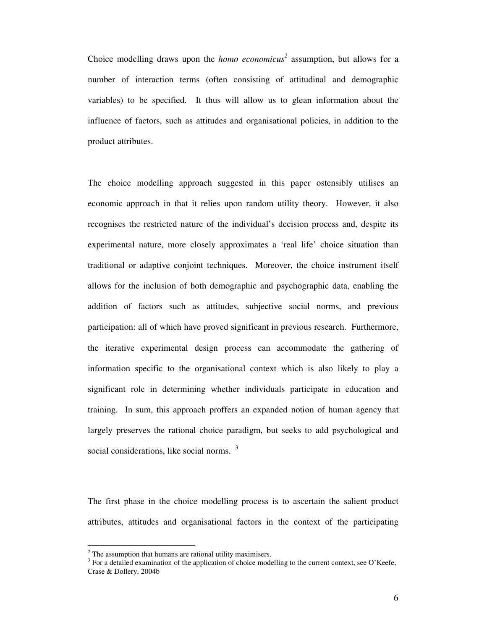Choice modelling draws upon the *homo economicus 2* assumption, but allows for a number of interaction terms (often consisting of attitudinal and demographic variables) to be specified. It thus will allow us to glean information about the influence of factors, such as attitudes and organisational policies, in addition to the product attributes.

The choice modelling approach suggested in this paper ostensibly utilises an economic approach in that it relies upon random utility theory. However, it also recognises the restricted nature of the individual's decision process and, despite its experimental nature, more closely approximates a 'real life' choice situation than traditional or adaptive conjoint techniques. Moreover, the choice instrument itself allows for the inclusion of both demographic and psychographic data, enabling the addition of factors such as attitudes, subjective social norms, and previous participation: all of which have proved significant in previous research. Furthermore, the iterative experimental design process can accommodate the gathering of information specific to the organisational context which is also likely to play a significant role in determining whether individuals participate in education and training. In sum, this approach proffers an expanded notion of human agency that largely preserves the rational choice paradigm, but seeks to add psychological and social considerations, like social norms. <sup>3</sup>

The first phase in the choice modelling process is to ascertain the salient product attributes, attitudes and organisational factors in the context of the participating

 $2$  The assumption that humans are rational utility maximisers.

 $3$  For a detailed examination of the application of choice modelling to the current context, see O'Keefe, Crase & Dollery, 2004b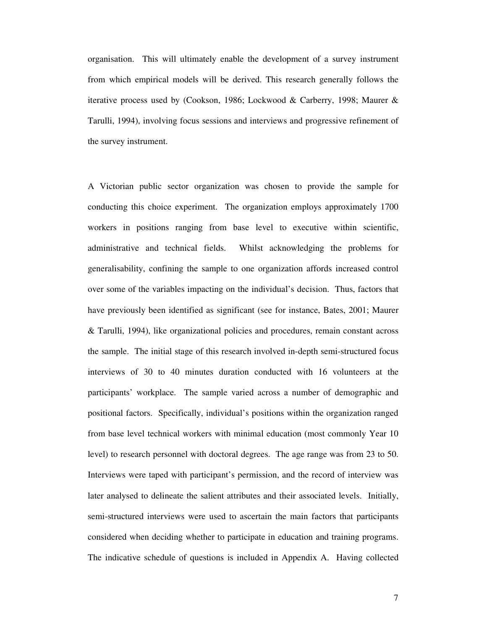organisation. This will ultimately enable the development of a survey instrument from which empirical models will be derived. This research generally follows the iterative process used by (Cookson, 1986; Lockwood & Carberry, 1998; Maurer & Tarulli, 1994), involving focus sessions and interviews and progressive refinement of the survey instrument.

A Victorian public sector organization was chosen to provide the sample for conducting this choice experiment. The organization employs approximately 1700 workers in positions ranging from base level to executive within scientific, administrative and technical fields. Whilst acknowledging the problems for generalisability, confining the sample to one organization affords increased control over some of the variables impacting on the individual's decision. Thus, factors that have previously been identified as significant (see for instance, Bates, 2001; Maurer & Tarulli, 1994), like organizational policies and procedures, remain constant across the sample. The initial stage of this research involved in-depth semi-structured focus interviews of 30 to 40 minutes duration conducted with 16 volunteers at the participants' workplace. The sample varied across a number of demographic and positional factors. Specifically, individual's positions within the organization ranged from base level technical workers with minimal education (most commonly Year 10 level) to research personnel with doctoral degrees. The age range was from 23 to 50. Interviews were taped with participant's permission, and the record of interview was later analysed to delineate the salient attributes and their associated levels. Initially, semi-structured interviews were used to ascertain the main factors that participants considered when deciding whether to participate in education and training programs. The indicative schedule of questions is included in Appendix A. Having collected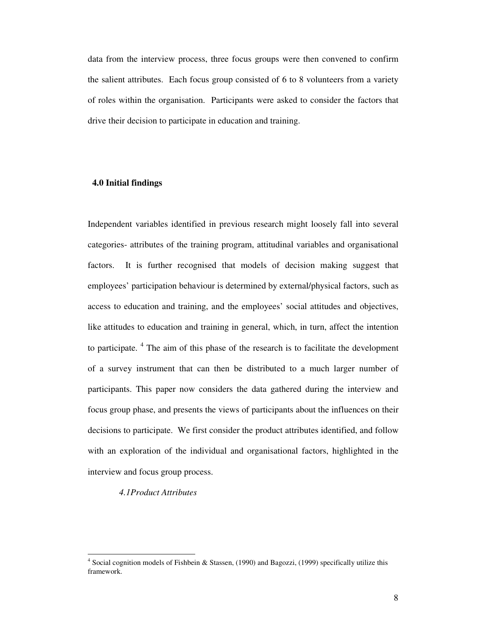data from the interview process, three focus groups were then convened to confirm the salient attributes. Each focus group consisted of 6 to 8 volunteers from a variety of roles within the organisation. Participants were asked to consider the factors that drive their decision to participate in education and training.

# **4.0 Initial findings**

Independent variables identified in previous research might loosely fall into several categories- attributes of the training program, attitudinal variables and organisational factors. It is further recognised that models of decision making suggest that employees' participation behaviour is determined by external/physical factors, such as access to education and training, and the employees' social attitudes and objectives, like attitudes to education and training in general, which, in turn, affect the intention to participate.<sup>4</sup> The aim of this phase of the research is to facilitate the development of a survey instrument that can then be distributed to a much larger number of participants. This paper now considers the data gathered during the interview and focus group phase, and presents the views of participants about the influences on their decisions to participate. We first consider the product attributes identified, and follow with an exploration of the individual and organisational factors, highlighted in the interview and focus group process.

*4.1Product Attributes*

<sup>&</sup>lt;sup>4</sup> Social cognition models of Fishbein & Stassen, (1990) and Bagozzi, (1999) specifically utilize this framework.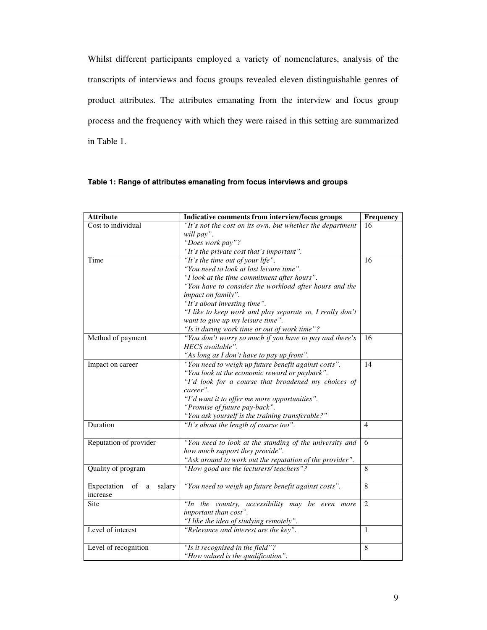Whilst different participants employed a variety of nomenclatures, analysis of the transcripts of interviews and focus groups revealed eleven distinguishable genres of product attributes. The attributes emanating from the interview and focus group process and the frequency with which they were raised in this setting are summarized in Table 1.

## **Table 1: Range of attributes emanating from focus interviews and groups**

| <b>Attribute</b>                        | Indicative comments from interview/focus groups           | Frequency      |
|-----------------------------------------|-----------------------------------------------------------|----------------|
| Cost to individual                      | "It's not the cost on its own, but whether the department |                |
|                                         | will pay".                                                |                |
|                                         | "Does work pay"?                                          |                |
|                                         | "It's the private cost that's important".                 |                |
| Time                                    | "It's the time out of your life".                         | 16             |
|                                         | "You need to look at lost leisure time".                  |                |
|                                         | "I look at the time commitment after hours".              |                |
|                                         | "You have to consider the workload after hours and the    |                |
|                                         | impact on family".                                        |                |
|                                         | "It's about investing time".                              |                |
|                                         | "I like to keep work and play separate so, I really don't |                |
|                                         | want to give up my leisure time".                         |                |
|                                         | "Is it during work time or out of work time"?             |                |
| Method of payment                       | "You don't worry so much if you have to pay and there's   | 16             |
|                                         | HECS available".                                          |                |
|                                         | "As long as I don't have to pay up front".                |                |
| Impact on career                        | "You need to weigh up future benefit against costs".      | 14             |
|                                         | "You look at the economic reward or payback".             |                |
|                                         | "I'd look for a course that broadened my choices of       |                |
|                                         | career".                                                  |                |
|                                         | "I'd want it to offer me more opportunities".             |                |
|                                         | "Promise of future pay-back".                             |                |
|                                         | "You ask yourself is the training transferable?"          |                |
| Duration                                | "It's about the length of course too".                    | $\overline{4}$ |
|                                         |                                                           |                |
| Reputation of provider                  | "You need to look at the standing of the university and   | 6              |
|                                         | how much support they provide".                           |                |
|                                         | "Ask around to work out the reputation of the provider".  |                |
| Quality of program                      | "How good are the lecturers/ teachers"?                   | 8              |
|                                         |                                                           |                |
| Expectation<br>of<br>salary<br>$\rm{a}$ | "You need to weigh up future benefit against costs".      | 8              |
| increase                                |                                                           |                |
| Site                                    | "In the country, accessibility may be even more           | $\overline{2}$ |
|                                         | important than cost".                                     |                |
|                                         | "I like the idea of studying remotely".                   |                |
| Level of interest                       | "Relevance and interest are the key".                     | 1              |
|                                         |                                                           |                |
| Level of recognition                    | "Is it recognised in the field"?                          | 8              |
|                                         | "How valued is the qualification".                        |                |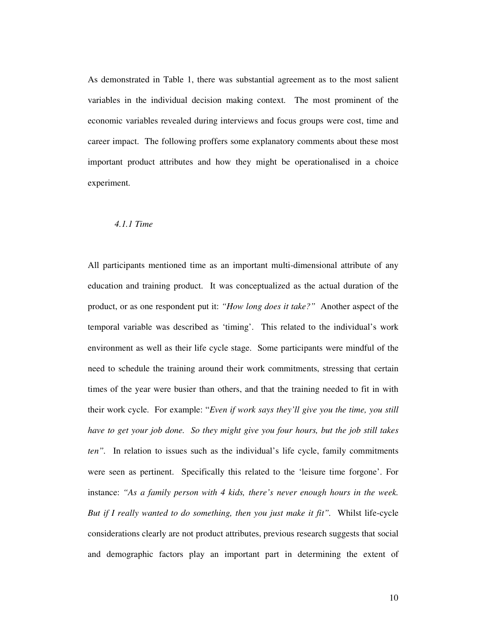As demonstrated in Table 1, there was substantial agreement as to the most salient variables in the individual decision making context. The most prominent of the economic variables revealed during interviews and focus groups were cost, time and career impact. The following proffers some explanatory comments about these most important product attributes and how they might be operationalised in a choice experiment.

### *4.1.1 Time*

All participants mentioned time as an important multi-dimensional attribute of any education and training product. It was conceptualized as the actual duration of the product, or as one respondent put it: *"How long does it take?"* Another aspect of the temporal variable was described as 'timing'. This related to the individual's work environment as well as their life cycle stage. Some participants were mindful of the need to schedule the training around their work commitments, stressing that certain times of the year were busier than others, and that the training needed to fit in with their work cycle. For example: "*Even if work says they'll give you the time, you still have to get your job done. So they might give you four hours, but the job still takes ten".* In relation to issues such as the individual's life cycle, family commitments were seen as pertinent. Specifically this related to the 'leisure time forgone'. For instance: *"As a family person with 4 kids, there's never enough hours in the week. But if I really wanted to do something, then you just make it fit".* Whilst life-cycle considerations clearly are not product attributes, previous research suggests that social and demographic factors play an important part in determining the extent of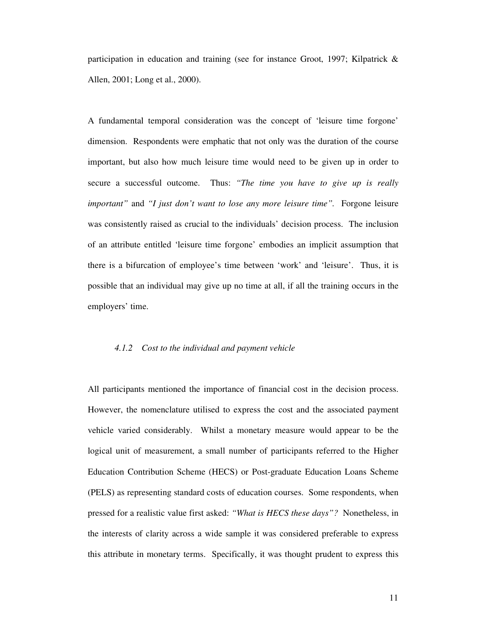participation in education and training (see for instance Groot, 1997; Kilpatrick & Allen, 2001; Long et al., 2000).

A fundamental temporal consideration was the concept of 'leisure time forgone' dimension. Respondents were emphatic that not only was the duration of the course important, but also how much leisure time would need to be given up in order to secure a successful outcome. Thus: *"The time you have to give up is really important"* and *"I just don't want to lose any more leisure time".* Forgone leisure was consistently raised as crucial to the individuals' decision process. The inclusion of an attribute entitled 'leisure time forgone' embodies an implicit assumption that there is a bifurcation of employee's time between 'work' and 'leisure'. Thus, it is possible that an individual may give up no time at all, if all the training occurs in the employers' time.

#### *4.1.2 Cost to the individual and payment vehicle*

All participants mentioned the importance of financial cost in the decision process. However, the nomenclature utilised to express the cost and the associated payment vehicle varied considerably. Whilst a monetary measure would appear to be the logical unit of measurement, a small number of participants referred to the Higher Education Contribution Scheme (HECS) or Post-graduate Education Loans Scheme (PELS) as representing standard costs of education courses. Some respondents, when pressed for a realistic value first asked: *"What is HECS these days"?* Nonetheless, in the interests of clarity across a wide sample it was considered preferable to express this attribute in monetary terms. Specifically, it was thought prudent to express this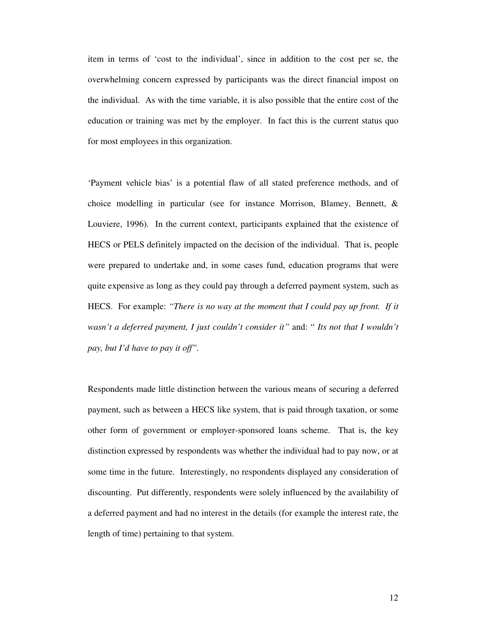item in terms of 'cost to the individual', since in addition to the cost per se, the overwhelming concern expressed by participants was the direct financial impost on the individual. As with the time variable, it is also possible that the entire cost of the education or training was met by the employer. In fact this is the current status quo for most employees in this organization.

'Payment vehicle bias' is a potential flaw of all stated preference methods, and of choice modelling in particular (see for instance Morrison, Blamey, Bennett, & Louviere, 1996). In the current context, participants explained that the existence of HECS or PELS definitely impacted on the decision of the individual. That is, people were prepared to undertake and, in some cases fund, education programs that were quite expensive as long as they could pay through a deferred payment system, such as HECS. For example: *"There is no way at the moment that I could pay up front. If it wasn't a deferred payment, I just couldn't consider it"* and: " *Its not that I wouldn't pay, but I'd have to pay it off".*

Respondents made little distinction between the various means of securing a deferred payment, such as between a HECS like system, that is paid through taxation, or some other form of government or employer-sponsored loans scheme. That is, the key distinction expressed by respondents was whether the individual had to pay now, or at some time in the future. Interestingly, no respondents displayed any consideration of discounting. Put differently, respondents were solely influenced by the availability of a deferred payment and had no interest in the details (for example the interest rate, the length of time) pertaining to that system.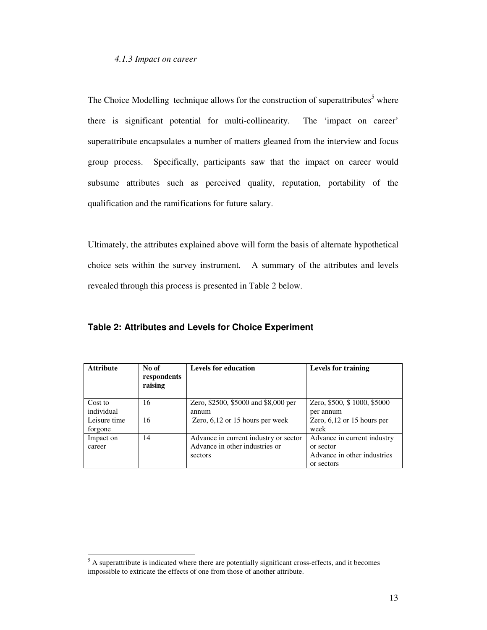### *4.1.3 Impact on career*

The Choice Modelling technique allows for the construction of superattributes<sup>5</sup> where there is significant potential for multi-collinearity. The 'impact on career' superattribute encapsulates a number of matters gleaned from the interview and focus group process. Specifically, participants saw that the impact on career would subsume attributes such as perceived quality, reputation, portability of the qualification and the ramifications for future salary.

Ultimately, the attributes explained above will form the basis of alternate hypothetical choice sets within the survey instrument. A summary of the attributes and levels revealed through this process is presented in Table 2 below.

| <b>Attribute</b>        | No of<br>respondents<br>raising | <b>Levels for education</b>                                                        | <b>Levels for training</b>                                                            |
|-------------------------|---------------------------------|------------------------------------------------------------------------------------|---------------------------------------------------------------------------------------|
| Cost to<br>individual   | 16                              | Zero, \$2500, \$5000 and \$8,000 per<br>annum                                      | Zero, \$500, \$1000, \$5000<br>per annum                                              |
| Leisure time<br>forgone | 16                              | Zero, $6,12$ or 15 hours per week                                                  | Zero, $6,12$ or 15 hours per<br>week                                                  |
| Impact on<br>career     | 14                              | Advance in current industry or sector<br>Advance in other industries or<br>sectors | Advance in current industry<br>or sector<br>Advance in other industries<br>or sectors |

**Table 2: Attributes and Levels for Choice Experiment**

 $<sup>5</sup>$  A superattribute is indicated where there are potentially significant cross-effects, and it becomes</sup> impossible to extricate the effects of one from those of another attribute.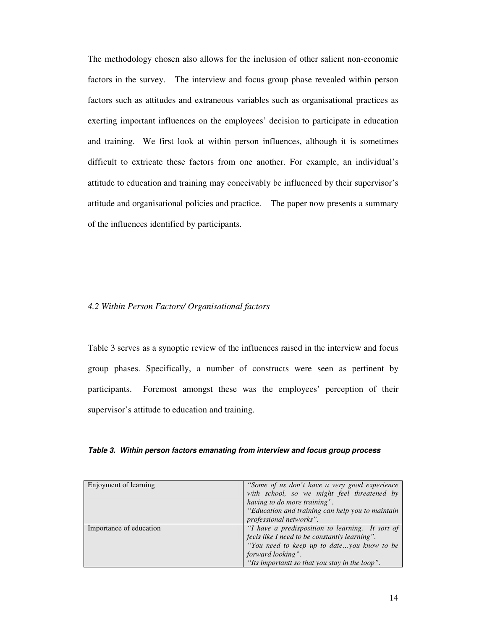The methodology chosen also allows for the inclusion of other salient non-economic factors in the survey. The interview and focus group phase revealed within person factors such as attitudes and extraneous variables such as organisational practices as exerting important influences on the employees' decision to participate in education and training. We first look at within person influences, although it is sometimes difficult to extricate these factors from one another. For example, an individual's attitude to education and training may conceivably be influenced by their supervisor's attitude and organisational policies and practice. The paper now presents a summary of the influences identified by participants.

### *4.2 Within Person Factors/ Organisational factors*

Table 3 serves as a synoptic review of the influences raised in the interview and focus group phases. Specifically, a number of constructs were seen as pertinent by participants. Foremost amongst these was the employees' perception of their supervisor's attitude to education and training.

### *Table 3. Within person factors emanating from interview and focus group process*

| Enjoyment of learning   | "Some of us don't have a very good experience"   |
|-------------------------|--------------------------------------------------|
|                         | with school, so we might feel threatened by      |
|                         | having to do more training".                     |
|                         | "Education and training can help you to maintain |
|                         | professional networks".                          |
| Importance of education | "I have a predisposition to learning. It sort of |
|                         | feels like I need to be constantly learning".    |
|                         | "You need to keep up to dateyou know to be       |
|                         | forward looking".                                |
|                         | "Its importantt so that you stay in the loop".   |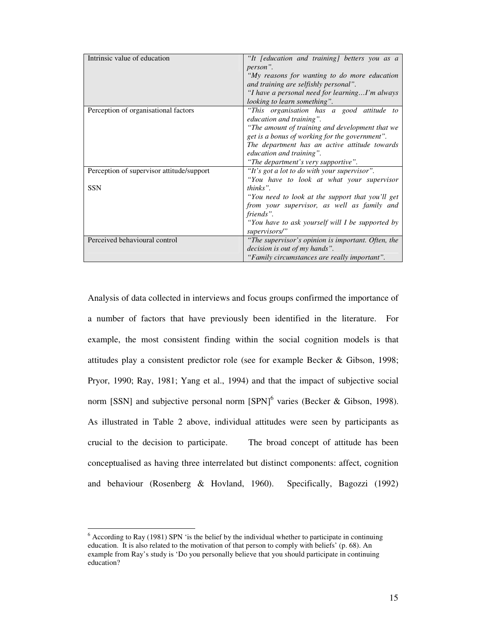| Intrinsic value of education              | "It [education and training] betters you as a      |
|-------------------------------------------|----------------------------------------------------|
|                                           | person".                                           |
|                                           | "My reasons for wanting to do more education       |
|                                           | and training are selfishly personal".              |
|                                           | "I have a personal need for learningI'm always     |
|                                           | looking to learn something".                       |
| Perception of organisational factors      | "This organisation has a good attitude to          |
|                                           | education and training".                           |
|                                           | "The amount of training and development that we    |
|                                           | get is a bonus of working for the government".     |
|                                           | The department has an active attitude towards      |
|                                           | education and training".                           |
|                                           | "The department's very supportive".                |
| Perception of supervisor attitude/support | "It's got a lot to do with your supervisor".       |
|                                           | "You have to look at what your supervisor          |
| <b>SSN</b>                                | thinks".                                           |
|                                           | "You need to look at the support that you'll get   |
|                                           | from your supervisor, as well as family and        |
|                                           | friends".                                          |
|                                           | "You have to ask yourself will I be supported by   |
|                                           | supervisors/"                                      |
| Perceived behavioural control             | "The supervisor's opinion is important. Often, the |
|                                           | <i>decision is out of my hands".</i>               |
|                                           | "Family circumstances are really important".       |

Analysis of data collected in interviews and focus groups confirmed the importance of a number of factors that have previously been identified in the literature. For example, the most consistent finding within the social cognition models is that attitudes play a consistent predictor role (see for example Becker & Gibson, 1998; Pryor, 1990; Ray, 1981; Yang et al., 1994) and that the impact of subjective social norm [SSN] and subjective personal norm  $[SPN]$ <sup>6</sup> varies (Becker & Gibson, 1998). As illustrated in Table 2 above, individual attitudes were seen by participants as crucial to the decision to participate. The broad concept of attitude has been conceptualised as having three interrelated but distinct components: affect, cognition and behaviour (Rosenberg & Hovland, 1960). Specifically, Bagozzi (1992)

 $6$  According to Ray (1981) SPN 'is the belief by the individual whether to participate in continuing education. It is also related to the motivation of that person to comply with beliefs' (p. 68). An example from Ray's study is 'Do you personally believe that you should participate in continuing education?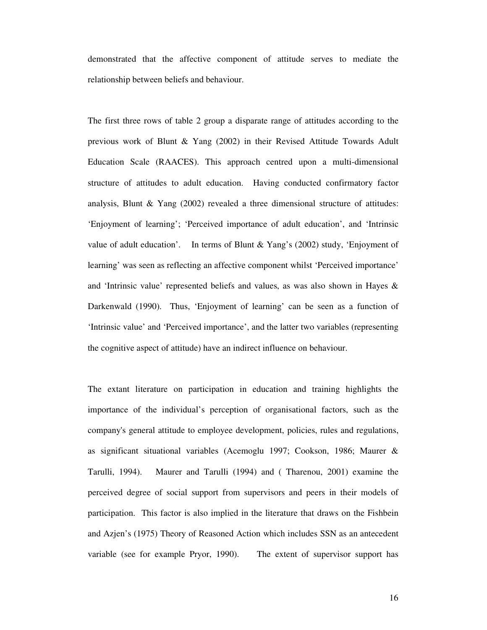demonstrated that the affective component of attitude serves to mediate the relationship between beliefs and behaviour.

The first three rows of table 2 group a disparate range of attitudes according to the previous work of Blunt & Yang (2002) in their Revised Attitude Towards Adult Education Scale (RAACES). This approach centred upon a multi-dimensional structure of attitudes to adult education. Having conducted confirmatory factor analysis, Blunt  $\&$  Yang (2002) revealed a three dimensional structure of attitudes: 'Enjoyment of learning'; 'Perceived importance of adult education', and 'Intrinsic value of adult education'. In terms of Blunt & Yang's (2002) study, 'Enjoyment of learning' was seen as reflecting an affective component whilst 'Perceived importance' and 'Intrinsic value' represented beliefs and values, as was also shown in Hayes  $\&$ Darkenwald (1990). Thus, 'Enjoyment of learning' can be seen as a function of 'Intrinsic value' and 'Perceived importance', and the latter two variables (representing the cognitive aspect of attitude) have an indirect influence on behaviour.

The extant literature on participation in education and training highlights the importance of the individual's perception of organisational factors, such as the company's general attitude to employee development, policies, rules and regulations, as significant situational variables (Acemoglu 1997; Cookson, 1986; Maurer & Tarulli, 1994). Maurer and Tarulli (1994) and ( Tharenou, 2001) examine the perceived degree of social support from supervisors and peers in their models of participation. This factor is also implied in the literature that draws on the Fishbein and Azjen's (1975) Theory of Reasoned Action which includes SSN as an antecedent variable (see for example Pryor, 1990). The extent of supervisor support has

16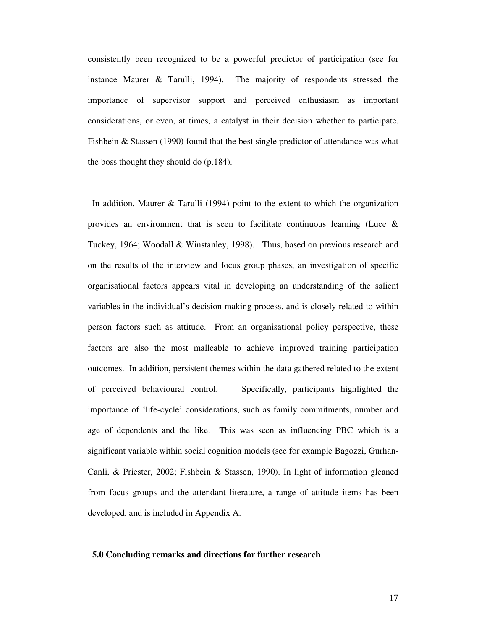consistently been recognized to be a powerful predictor of participation (see for instance Maurer & Tarulli, 1994). The majority of respondents stressed the importance of supervisor support and perceived enthusiasm as important considerations, or even, at times, a catalyst in their decision whether to participate. Fishbein & Stassen (1990) found that the best single predictor of attendance was what the boss thought they should do (p.184).

In addition, Maurer & Tarulli (1994) point to the extent to which the organization provides an environment that is seen to facilitate continuous learning (Luce  $\&$ Tuckey, 1964; Woodall & Winstanley, 1998). Thus, based on previous research and on the results of the interview and focus group phases, an investigation of specific organisational factors appears vital in developing an understanding of the salient variables in the individual's decision making process, and is closely related to within person factors such as attitude. From an organisational policy perspective, these factors are also the most malleable to achieve improved training participation outcomes. In addition, persistent themes within the data gathered related to the extent of perceived behavioural control. Specifically, participants highlighted the importance of 'life-cycle' considerations, such as family commitments, number and age of dependents and the like. This was seen as influencing PBC which is a significant variable within social cognition models (see for example Bagozzi, Gurhan-Canli, & Priester, 2002; Fishbein & Stassen, 1990). In light of information gleaned from focus groups and the attendant literature, a range of attitude items has been developed, and is included in Appendix A.

#### **5.0 Concluding remarks and directions for further research**

17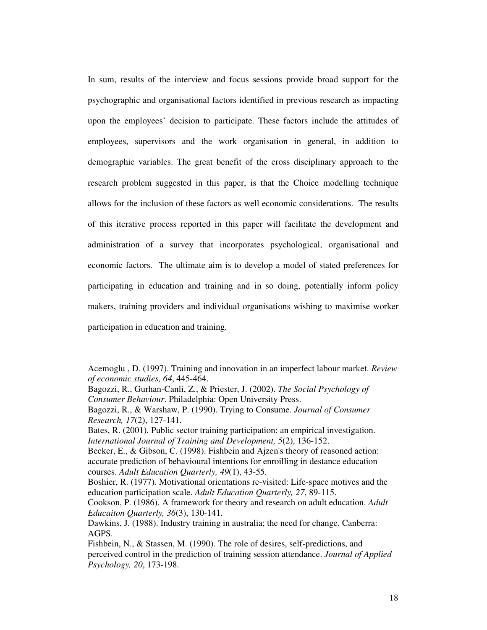In sum, results of the interview and focus sessions provide broad support for the psychographic and organisational factors identified in previous research as impacting upon the employees' decision to participate. These factors include the attitudes of employees, supervisors and the work organisation in general, in addition to demographic variables. The great benefit of the cross disciplinary approach to the research problem suggested in this paper, is that the Choice modelling technique allows for the inclusion of these factors as well economic considerations. The results of this iterative process reported in this paper will facilitate the development and administration of a survey that incorporates psychological, organisational and economic factors. The ultimate aim is to develop a model of stated preferences for participating in education and training and in so doing, potentially inform policy makers, training providers and individual organisations wishing to maximise worker participation in education and training.

Bagozzi, R., Gurhan-Canli, Z., & Priester, J. (2002). *The Social Psychology of Consumer Behaviour*. Philadelphia: Open University Press.

Bagozzi, R., & Warshaw, P. (1990). Trying to Consume. *Journal of Consumer Research, 17*(2), 127-141.

Bates, R. (2001). Public sector training participation: an empirical investigation. *International Journal of Training and Development, 5*(2), 136-152.

Becker, E., & Gibson, C. (1998). Fishbein and Ajzen's theory of reasoned action: accurate prediction of behavioural intentions for enroilling in destance education courses. *Adult Education Quarterly, 49*(1), 43-55.

Cookson, P. (1986). A framework for theory and research on adult education. *Adult Educaiton Quarterly, 36*(3), 130-141.

Dawkins, J. (1988). Industry training in australia; the need for change. Canberra: AGPS.

Fishbein, N., & Stassen, M. (1990). The role of desires, self-predictions, and perceived control in the prediction of training session attendance. *Journal of Applied Psychology, 20*, 173-198.

Acemoglu , D. (1997). Training and innovation in an imperfect labour market. *Review of economic studies, 64*, 445-464.

Boshier, R. (1977). Motivational orientations re-visited: Life-space motives and the education participation scale. *Adult Education Quarterly, 27*, 89-115.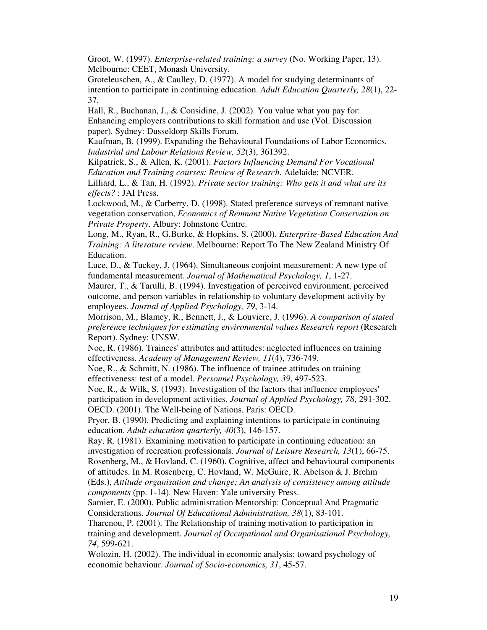Groot, W. (1997). *Enterprise-related training: a survey* (No. Working Paper, 13). Melbourne: CEET, Monash University.

Groteleuschen, A., & Caulley, D. (1977). A model for studying determinants of intention to participate in continuing education. *Adult Education Quarterly, 28*(1), 22- 37.

Hall, R., Buchanan, J., & Considine, J. (2002). You value what you pay for: Enhancing employers contributions to skill formation and use (Vol. Discussion paper). Sydney: Dusseldorp Skills Forum.

Kaufman, B. (1999). Expanding the Behavioural Foundations of Labor Economics. *Industrial and Labour Relations Review, 52*(3), 361392.

Kilpatrick, S., & Allen, K. (2001). *Factors Influencing Demand For Vocational Education and Training courses: Review of Research*. Adelaide: NCVER.

Lilliard, L., & Tan, H. (1992). *Private sector training: Who gets it and what are its effects?* : JAI Press.

Lockwood, M., & Carberry, D. (1998). Stated preference surveys of remnant native vegetation conservation, *Economics of Remnant Native Vegetation Conservation on Private Property*. Albury: Johnstone Centre.

Long, M., Ryan, R., G.Burke, & Hopkins, S. (2000). *Enterprise-Based Education And Training: A literature review*. Melbourne: Report To The New Zealand Ministry Of Education.

Luce, D., & Tuckey, J. (1964). Simultaneous conjoint measurement: A new type of fundamental measurement. *Journal of Mathematical Psychology, 1*, 1-27.

Maurer, T., & Tarulli, B. (1994). Investigation of perceived environment, perceived outcome, and person variables in relationship to voluntary development activity by employees. *Journal of Applied Psychology, 79*, 3-14.

Morrison, M., Blamey, R., Bennett, J., & Louviere, J. (1996). *A comparison of stated preference techniques for estimating environmental values Research report* (Research Report). Sydney: UNSW.

Noe, R. (1986). Trainees'attributes and attitudes: neglected influences on training effectiveness. *Academy of Management Review, 11*(4), 736-749.

Noe, R., & Schmitt, N. (1986). The influence of trainee attitudes on training effectiveness: test of a model. *Personnel Psychology, 39*, 497-523.

Noe, R., & Wilk, S. (1993). Investigation of the factors that influence employees' participation in development activities. *Journal of Applied Psychology, 78*, 291-302. OECD. (2001). The Well-being of Nations. Paris: OECD.

Pryor, B. (1990). Predicting and explaining intentions to participate in continuing education. *Adult education quarterly, 40*(3), 146-157.

Ray, R. (1981). Examining motivation to participate in continuing education: an investigation of recreation professionals. *Journal of Leisure Research, 13*(1), 66-75. Rosenberg, M., & Hovland, C. (1960). Cognitive, affect and behavioural components

of attitudes. In M. Rosenberg, C. Hovland, W. McGuire, R. Abelson & J. Brehm (Eds.), *Attitude organisation and change; An analysis of consistency among attitude components* (pp. 1-14). New Haven: Yale university Press.

Samier, E. (2000). Public administration Mentorship: Conceptual And Pragmatic Considerations. *Journal Of Educational Administration, 38*(1), 83-101.

Tharenou, P. (2001). The Relationship of training motivation to participation in training and development. *Journal of Occupational and Organisational Psychology, 74*, 599-621.

Wolozin, H. (2002). The individual in economic analysis: toward psychology of economic behaviour. *Journal of Socio-economics, 31*, 45-57.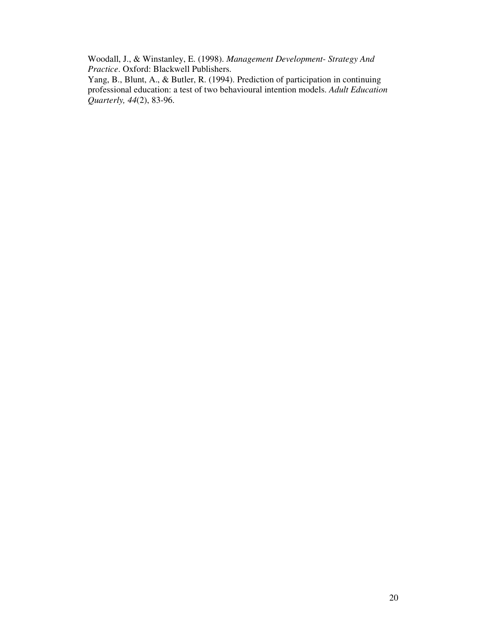Woodall, J., & Winstanley, E. (1998). *Management Development- Strategy And Practice*. Oxford: Blackwell Publishers.

Yang, B., Blunt, A., & Butler, R. (1994). Prediction of participation in continuing professional education: a test of two behavioural intention models. *Adult Education Quarterly, 44*(2), 83-96.